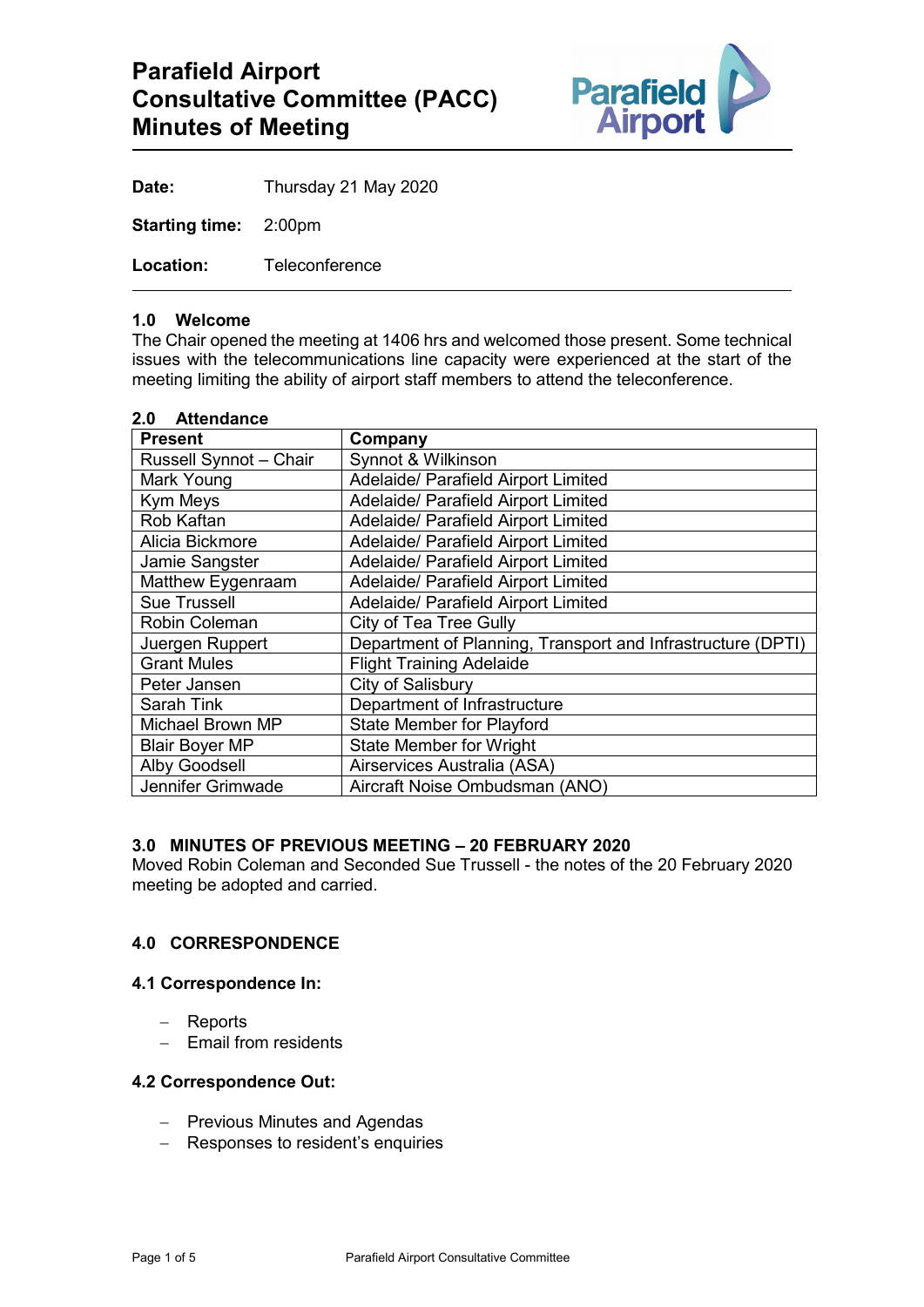

**Date:** Thursday 21 May 2020

**Starting time:** 2:00pm

**Location:** Teleconference

#### **1.0 Welcome**

The Chair opened the meeting at 1406 hrs and welcomed those present. Some technical issues with the telecommunications line capacity were experienced at the start of the meeting limiting the ability of airport staff members to attend the teleconference.

| 2.0<br><b>Attendance</b> |                                                             |
|--------------------------|-------------------------------------------------------------|
| <b>Present</b>           | Company                                                     |
| Russell Synnot - Chair   | Synnot & Wilkinson                                          |
| Mark Young               | Adelaide/ Parafield Airport Limited                         |
| Kym Meys                 | Adelaide/ Parafield Airport Limited                         |
| Rob Kaftan               | Adelaide/ Parafield Airport Limited                         |
| Alicia Bickmore          | Adelaide/ Parafield Airport Limited                         |
| Jamie Sangster           | Adelaide/ Parafield Airport Limited                         |
| Matthew Eygenraam        | Adelaide/ Parafield Airport Limited                         |
| <b>Sue Trussell</b>      | Adelaide/ Parafield Airport Limited                         |
| <b>Robin Coleman</b>     | City of Tea Tree Gully                                      |
| Juergen Ruppert          | Department of Planning, Transport and Infrastructure (DPTI) |
| <b>Grant Mules</b>       | <b>Flight Training Adelaide</b>                             |
| Peter Jansen             | City of Salisbury                                           |
| Sarah Tink               | Department of Infrastructure                                |
| <b>Michael Brown MP</b>  | <b>State Member for Playford</b>                            |
| <b>Blair Boyer MP</b>    | <b>State Member for Wright</b>                              |
| <b>Alby Goodsell</b>     | Airservices Australia (ASA)                                 |
| Jennifer Grimwade        | Aircraft Noise Ombudsman (ANO)                              |

#### **3.0 MINUTES OF PREVIOUS MEETING – 20 FEBRUARY 2020**

Moved Robin Coleman and Seconded Sue Trussell - the notes of the 20 February 2020 meeting be adopted and carried.

# **4.0 CORRESPONDENCE**

#### **4.1 Correspondence In:**

- − Reports
- − Email from residents

## **4.2 Correspondence Out:**

- − Previous Minutes and Agendas
- − Responses to resident's enquiries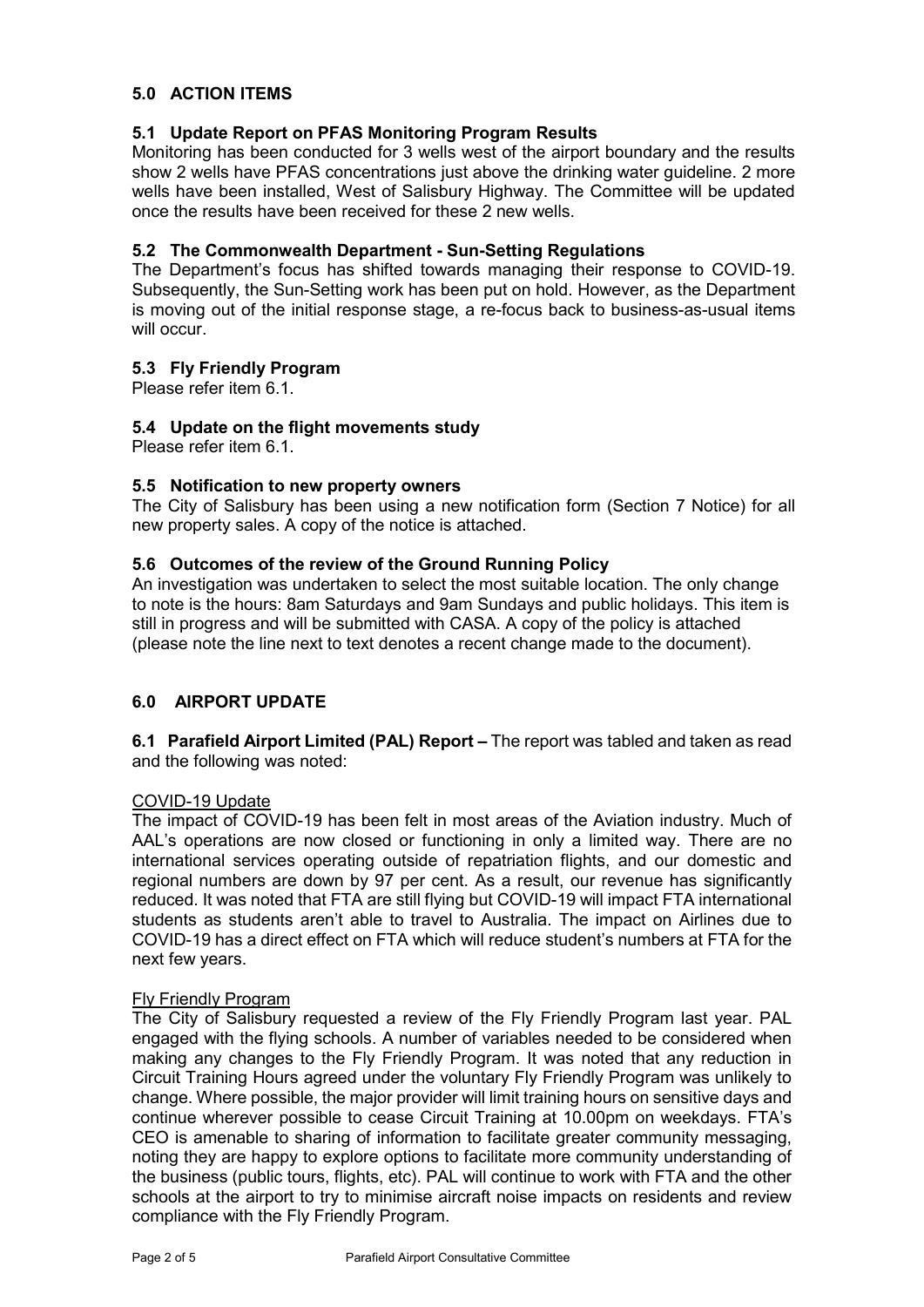# **5.0 ACTION ITEMS**

## **5.1 Update Report on PFAS Monitoring Program Results**

Monitoring has been conducted for 3 wells west of the airport boundary and the results show 2 wells have PFAS concentrations just above the drinking water guideline. 2 more wells have been installed, West of Salisbury Highway. The Committee will be updated once the results have been received for these 2 new wells.

# **5.2 The Commonwealth Department - Sun-Setting Regulations**

The Department's focus has shifted towards managing their response to COVID-19. Subsequently, the Sun-Setting work has been put on hold. However, as the Department is moving out of the initial response stage, a re-focus back to business-as-usual items will occur.

# **5.3 Fly Friendly Program**

Please refer item 6.1.

### **5.4 Update on the flight movements study**

Please refer item 6.1.

### **5.5 Notification to new property owners**

The City of Salisbury has been using a new notification form (Section 7 Notice) for all new property sales. A copy of the notice is attached.

### **5.6 Outcomes of the review of the Ground Running Policy**

An investigation was undertaken to select the most suitable location. The only change to note is the hours: 8am Saturdays and 9am Sundays and public holidays. This item is still in progress and will be submitted with CASA. A copy of the policy is attached (please note the line next to text denotes a recent change made to the document).

### **6.0 AIRPORT UPDATE**

**6.1 Parafield Airport Limited (PAL) Report –** The report was tabled and taken as read and the following was noted:

### COVID-19 Update

The impact of COVID-19 has been felt in most areas of the Aviation industry. Much of AAL's operations are now closed or functioning in only a limited way. There are no international services operating outside of repatriation flights, and our domestic and regional numbers are down by 97 per cent. As a result, our revenue has significantly reduced. It was noted that FTA are still flying but COVID-19 will impact FTA international students as students aren't able to travel to Australia. The impact on Airlines due to COVID-19 has a direct effect on FTA which will reduce student's numbers at FTA for the next few years.

#### Fly Friendly Program

The City of Salisbury requested a review of the Fly Friendly Program last year. PAL engaged with the flying schools. A number of variables needed to be considered when making any changes to the Fly Friendly Program. It was noted that any reduction in Circuit Training Hours agreed under the voluntary Fly Friendly Program was unlikely to change. Where possible, the major provider will limit training hours on sensitive days and continue wherever possible to cease Circuit Training at 10.00pm on weekdays. FTA's CEO is amenable to sharing of information to facilitate greater community messaging, noting they are happy to explore options to facilitate more community understanding of the business (public tours, flights, etc). PAL will continue to work with FTA and the other schools at the airport to try to minimise aircraft noise impacts on residents and review compliance with the Fly Friendly Program.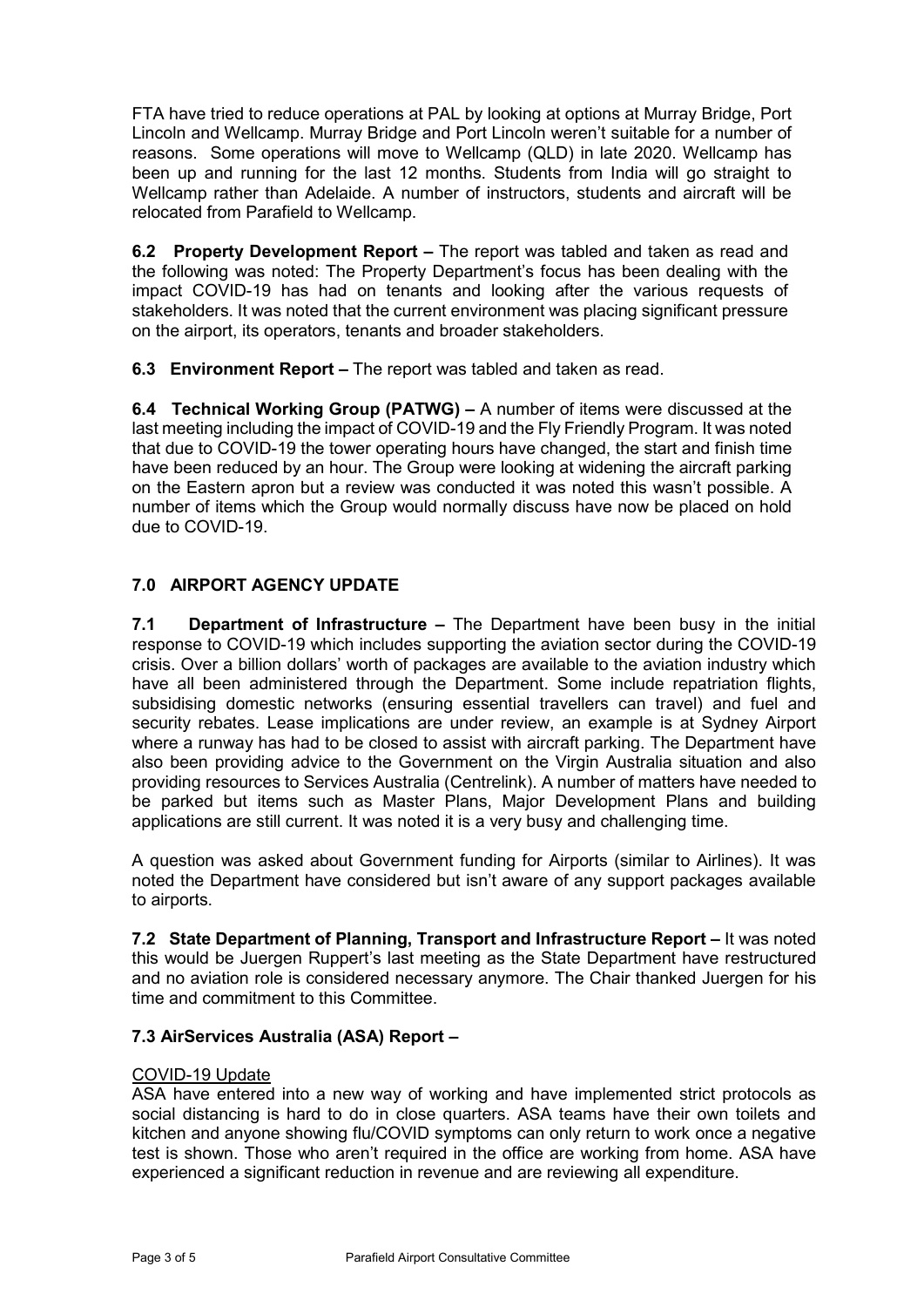FTA have tried to reduce operations at PAL by looking at options at Murray Bridge, Port Lincoln and Wellcamp. Murray Bridge and Port Lincoln weren't suitable for a number of reasons. Some operations will move to Wellcamp (QLD) in late 2020. Wellcamp has been up and running for the last 12 months. Students from India will go straight to Wellcamp rather than Adelaide. A number of instructors, students and aircraft will be relocated from Parafield to Wellcamp.

**6.2 Property Development Report –** The report was tabled and taken as read and the following was noted: The Property Department's focus has been dealing with the impact COVID-19 has had on tenants and looking after the various requests of stakeholders. It was noted that the current environment was placing significant pressure on the airport, its operators, tenants and broader stakeholders.

**6.3 Environment Report –** The report was tabled and taken as read.

**6.4 Technical Working Group (PATWG) –** A number of items were discussed at the last meeting including the impact of COVID-19 and the Fly Friendly Program. It was noted that due to COVID-19 the tower operating hours have changed, the start and finish time have been reduced by an hour. The Group were looking at widening the aircraft parking on the Eastern apron but a review was conducted it was noted this wasn't possible. A number of items which the Group would normally discuss have now be placed on hold due to COVID-19.

# **7.0 AIRPORT AGENCY UPDATE**

**7.1 Department of Infrastructure –** The Department have been busy in the initial response to COVID-19 which includes supporting the aviation sector during the COVID-19 crisis. Over a billion dollars' worth of packages are available to the aviation industry which have all been administered through the Department. Some include repatriation flights, subsidising domestic networks (ensuring essential travellers can travel) and fuel and security rebates. Lease implications are under review, an example is at Sydney Airport where a runway has had to be closed to assist with aircraft parking. The Department have also been providing advice to the Government on the Virgin Australia situation and also providing resources to Services Australia (Centrelink). A number of matters have needed to be parked but items such as Master Plans, Major Development Plans and building applications are still current. It was noted it is a very busy and challenging time.

A question was asked about Government funding for Airports (similar to Airlines). It was noted the Department have considered but isn't aware of any support packages available to airports.

**7.2 State Department of Planning, Transport and Infrastructure Report –** It was noted this would be Juergen Ruppert's last meeting as the State Department have restructured and no aviation role is considered necessary anymore. The Chair thanked Juergen for his time and commitment to this Committee.

# **7.3 AirServices Australia (ASA) Report –**

### COVID-19 Update

ASA have entered into a new way of working and have implemented strict protocols as social distancing is hard to do in close quarters. ASA teams have their own toilets and kitchen and anyone showing flu/COVID symptoms can only return to work once a negative test is shown. Those who aren't required in the office are working from home. ASA have experienced a significant reduction in revenue and are reviewing all expenditure.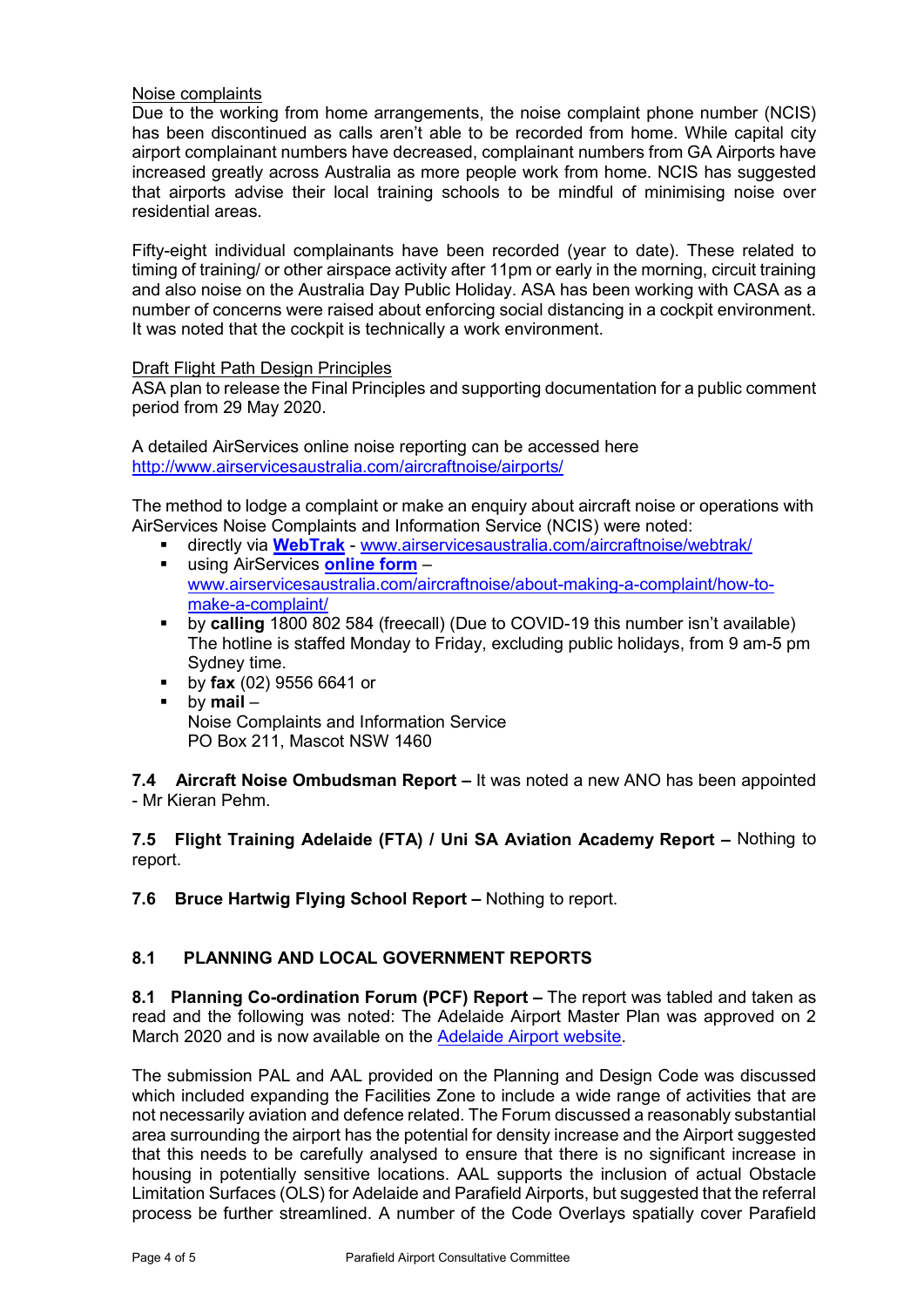# Noise complaints

Due to the working from home arrangements, the noise complaint phone number (NCIS) has been discontinued as calls aren't able to be recorded from home. While capital city airport complainant numbers have decreased, complainant numbers from GA Airports have increased greatly across Australia as more people work from home. NCIS has suggested that airports advise their local training schools to be mindful of minimising noise over residential areas.

Fifty-eight individual complainants have been recorded (year to date). These related to timing of training/ or other airspace activity after 11pm or early in the morning, circuit training and also noise on the Australia Day Public Holiday. ASA has been working with CASA as a number of concerns were raised about enforcing social distancing in a cockpit environment. It was noted that the cockpit is technically a work environment.

#### Draft Flight Path Design Principles

ASA plan to release the Final Principles and supporting documentation for a public comment period from 29 May 2020.

A detailed AirServices online noise reporting can be accessed here <http://www.airservicesaustralia.com/aircraftnoise/airports/>

The method to lodge a complaint or make an enquiry about aircraft noise or operations with AirServices Noise Complaints and Information Service (NCIS) were noted:

- directly via **[WebTrak](http://www.airservicesaustralia.com/aircraftnoise/webtrak/)** [www.airservicesaustralia.com/aircraftnoise/webtrak/](http://www.airservicesaustralia.com/aircraftnoise/webtrak/) using AirServices **[online form](https://complaints.bksv.com/asa)** –
- [www.airservicesaustralia.com/aircraftnoise/about-making-a-complaint/how-to](http://www.airservicesaustralia.com/aircraftnoise/about-making-a-complaint/how-to-make-a-complaint/)[make-a-complaint/](http://www.airservicesaustralia.com/aircraftnoise/about-making-a-complaint/how-to-make-a-complaint/)
- by **calling** 1800 802 584 (freecall) (Due to COVID-19 this number isn't available) The hotline is staffed Monday to Friday, excluding public holidays, from 9 am-5 pm Sydney time.
- by **fax** (02) 9556 6641 or
- by **mail** Noise Complaints and Information Service PO Box 211, Mascot NSW 1460

**7.4 Aircraft Noise Ombudsman Report –** It was noted a new ANO has been appointed - Mr Kieran Pehm.

**7.5 Flight Training Adelaide (FTA) / Uni SA Aviation Academy Report –** Nothing to report.

**7.6 Bruce Hartwig Flying School Report –** Nothing to report.

# **8.1 PLANNING AND LOCAL GOVERNMENT REPORTS**

**8.1 Planning Co-ordination Forum (PCF) Report –** The report was tabled and taken as read and the following was noted: The Adelaide Airport Master Plan was approved on 2 March 2020 and is now available on the [Adelaide Airport website.](https://www.adelaideairport.com.au/corporate/community/adelaide-airport-master-plan/)

The submission PAL and AAL provided on the Planning and Design Code was discussed which included expanding the Facilities Zone to include a wide range of activities that are not necessarily aviation and defence related. The Forum discussed a reasonably substantial area surrounding the airport has the potential for density increase and the Airport suggested that this needs to be carefully analysed to ensure that there is no significant increase in housing in potentially sensitive locations. AAL supports the inclusion of actual Obstacle Limitation Surfaces (OLS) for Adelaide and Parafield Airports, but suggested that the referral process be further streamlined. A number of the Code Overlays spatially cover Parafield